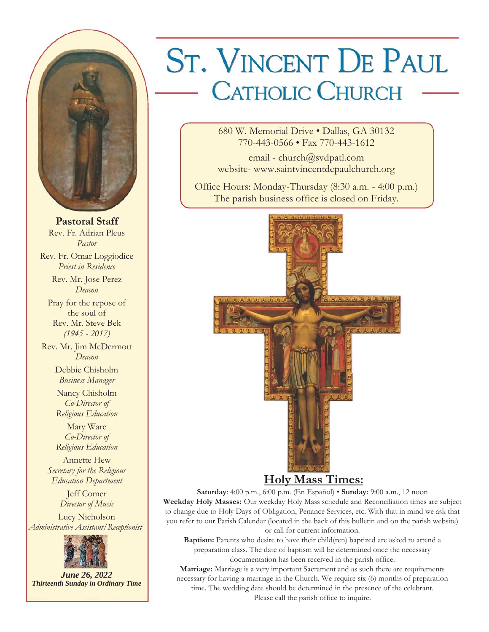

**Pastoral Staff** Rev. Fr. Adrian Pleus *Pastor* Rev. Fr. Omar Loggiodice *Priest in Residence* Rev. Mr. Jose Perez *Deacon* Pray for the repose of the soul of Rev. Mr. Steve Bek *(1945 - 2017)* Rev. Mr. Jim McDermott *Deacon* Debbie Chisholm *Business Manager* Nancy Chisholm *Co-Director of Religious Education* Mary Ware *Co-Director of Religious Education* Annette Hew *Secretary for the Religious Education Department* Jeff Comer *Director of Music* Lucy Nicholson *Administrative Assistant/Receptionist*



*June 26, 2022 Thirteenth Sunday in Ordinary Time*

# **ST. VINCENT DE PAUL** - CATHOLIC CHURCH

680 W. Memorial Drive • Dallas, GA 30132 770-443-0566 • Fax 770-443-1612

email - church@svdpatl.com website- www.saintvincentdepaulchurch.org

Office Hours: Monday-Thursday (8:30 a.m. - 4:00 p.m.) The parish business office is closed on Friday.



# **Holy Mass Times:**

**Saturday**: 4:00 p.m., 6:00 p.m. (En Español) • **Sunday:** 9:00 a.m., 12 noon **Weekday Holy Masses:** Our weekday Holy Mass schedule and Reconciliation times are subject to change due to Holy Days of Obligation, Penance Services, etc. With that in mind we ask that you refer to our Parish Calendar (located in the back of this bulletin and on the parish website) or call for current information.

**Baptism:** Parents who desire to have their child(ren) baptized are asked to attend a preparation class. The date of baptism will be determined once the necessary documentation has been received in the parish office.

**Marriage:** Marriage is a very important Sacrament and as such there are requirements necessary for having a marriage in the Church. We require six (6) months of preparation time. The wedding date should be determined in the presence of the celebrant.

Please call the parish office to inquire.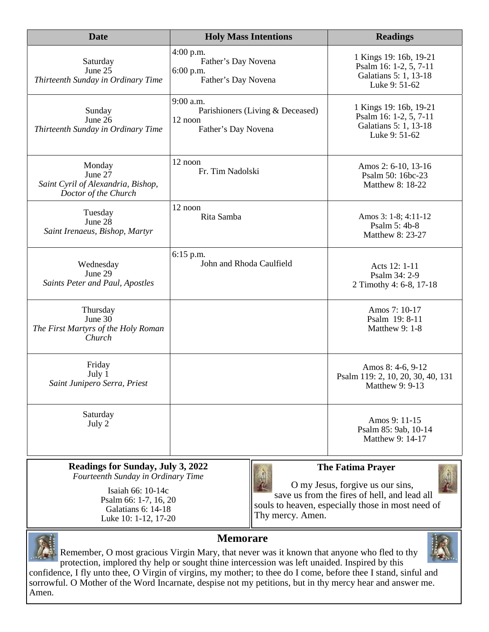| <b>Date</b>                                                                     | <b>Holy Mass Intentions</b>                                                     | <b>Readings</b>                                                                            |  |  |
|---------------------------------------------------------------------------------|---------------------------------------------------------------------------------|--------------------------------------------------------------------------------------------|--|--|
| Saturday<br>June 25<br>Thirteenth Sunday in Ordinary Time                       | 4:00 p.m.<br>Father's Day Novena<br>6:00 p.m.<br>Father's Day Novena            | 1 Kings 19: 16b, 19-21<br>Psalm 16: 1-2, 5, 7-11<br>Galatians 5: 1, 13-18<br>Luke 9: 51-62 |  |  |
| Sunday<br>June 26<br>Thirteenth Sunday in Ordinary Time                         | 9:00 a.m.<br>Parishioners (Living & Deceased)<br>12 noon<br>Father's Day Novena | 1 Kings 19: 16b, 19-21<br>Psalm 16: 1-2, 5, 7-11<br>Galatians 5: 1, 13-18<br>Luke 9: 51-62 |  |  |
| Monday<br>June 27<br>Saint Cyril of Alexandria, Bishop,<br>Doctor of the Church | 12 noon<br>Fr. Tim Nadolski                                                     | Amos 2: 6-10, 13-16<br>Psalm 50: 16bc-23<br>Matthew 8: 18-22                               |  |  |
| Tuesday<br>June $28$<br>Saint Irenaeus, Bishop, Martyr                          | 12 noon<br>Rita Samba                                                           | Amos 3: 1-8; 4:11-12<br>Psalm 5: 4b-8<br>Matthew 8: 23-27                                  |  |  |
| Wednesday<br>June 29<br>Saints Peter and Paul, Apostles                         | $6:15$ p.m.<br>John and Rhoda Caulfield                                         | Acts 12: 1-11<br>Psalm 34: 2-9<br>2 Timothy 4: 6-8, 17-18                                  |  |  |
| Thursday<br>June 30<br>The First Martyrs of the Holy Roman<br>Church            |                                                                                 | Amos 7: 10-17<br>Psalm 19: 8-11<br>Matthew 9: 1-8                                          |  |  |
| Friday<br>July 1<br>Saint Junipero Serra, Priest                                |                                                                                 | Amos 8: 4-6, 9-12<br>Psalm 119: 2, 10, 20, 30, 40, 131<br>Matthew 9: 9-13                  |  |  |
| Saturday<br>July 2                                                              |                                                                                 | Amos 9: 11-15<br>Psalm 85: 9ab, 10-14<br>Matthew 9: 14-17                                  |  |  |

#### **Readings for Sunday, July 3, 2022** *Fourteenth Sunday in Ordinary Time*

Isaiah 66: 10-14c Psalm 66: 1-7, 16, 20 Galatians 6: 14-18 Luke 10: 1-12, 17-20



# **The Fatima Prayer**

O my Jesus, forgive us our sins, save us from the fires of hell, and lead all souls to heaven, especially those in most need of Thy mercy. Amen.



Amen.

**Memorare**

Remember, O most gracious Virgin Mary, that never was it known that anyone who fled to thy protection, implored thy help or sought thine intercession was left unaided. Inspired by this confidence, I fly unto thee, O Virgin of virgins, my mother; to thee do I come, before thee I stand, sinful and sorrowful. O Mother of the Word Incarnate, despise not my petitions, but in thy mercy hear and answer me.

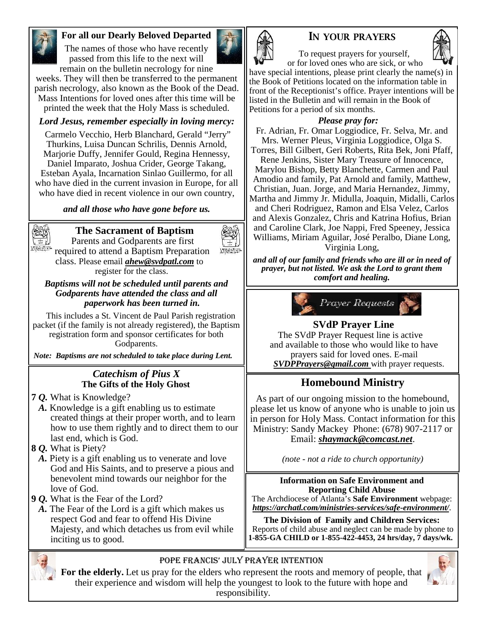

## **For all our Dearly Beloved Departed**

The names of those who have recently passed from this life to the next will remain on the bulletin necrology for nine



weeks. They will then be transferred to the permanent parish necrology, also known as the Book of the Dead. Mass Intentions for loved ones after this time will be printed the week that the Holy Mass is scheduled.

#### *Lord Jesus, remember especially in loving mercy:*

Carmelo Vecchio, Herb Blanchard, Gerald "Jerry" Thurkins, Luisa Duncan Schrilis, Dennis Arnold, Marjorie Duffy, Jennifer Gould, Regina Hennessy, Daniel Imparato, Joshua Crider, George Takang, Esteban Ayala, Incarnation Sinlao Guillermo, for all who have died in the current invasion in Europe, for all who have died in recent violence in our own country,

#### *and all those who have gone before us.*



# **The Sacrament of Baptism**

Parents and Godparents are first required to attend a Baptism Preparation class. Please email *ahew@svdpatl.com* to register for the class.

#### *Baptisms will not be scheduled until parents and Godparents have attended the class and all paperwork has been turned in.*

This includes a St. Vincent de Paul Parish registration packet (if the family is not already registered), the Baptism registration form and sponsor certificates for both Godparents.

*Note: Baptisms are not scheduled to take place during Lent.*

#### *Catechism of Pius X* **The Gifts of the Holy Ghost**

- **7** *Q.* What is Knowledge?
- *A.* Knowledge is a gift enabling us to estimate created things at their proper worth, and to learn how to use them rightly and to direct them to our last end, which is God.
- **8** *Q.* What is Piety?
- *A.* Piety is a gift enabling us to venerate and love God and His Saints, and to preserve a pious and benevolent mind towards our neighbor for the love of God.
- **9** *Q.* What is the Fear of the Lord?
- *A.* The Fear of the Lord is a gift which makes us respect God and fear to offend His Divine Majesty, and which detaches us from evil while inciting us to good.



# **IN YOUR PRAYERS**



To request prayers for yourself, or for loved ones who are sick, or who

have special intentions, please print clearly the name(s) in the Book of Petitions located on the information table in front of the Receptionist's office. Prayer intentions will be listed in the Bulletin and will remain in the Book of Petitions for a period of six months.

#### *Please pray for:*

Fr. Adrian, Fr. Omar Loggiodice, Fr. Selva, Mr. and Mrs. Werner Pleus, Virginia Loggiodice, Olga S.

Torres, Bill Gilbert, Geri Roberts, Rita Bek, Joni Pfaff, Rene Jenkins, Sister Mary Treasure of Innocence, Marylou Bishop, Betty Blanchette, Carmen and Paul Amodio and family, Pat Arnold and family, Matthew, Christian, Juan. Jorge, and Maria Hernandez, Jimmy, Martha and Jimmy Jr. Midulla, Joaquin, Midalli, Carlos and Cheri Rodriguez, Ramon and Elsa Velez, Carlos and Alexis Gonzalez, Chris and Katrina Hofius, Brian and Caroline Clark, Joe Nappi, Fred Speeney, Jessica Williams, Miriam Aguilar, José Peralbo, Diane Long, Virginia Long,

*and all of our family and friends who are ill or in need of prayer, but not listed. We ask the Lord to grant them comfort and healing.*



# **SVdP Prayer Line**

The SVdP Prayer Request line is active and available to those who would like to have prayers said for loved ones. E-mail *SVDPPrayers@gmail.com* with prayer requests.

# **Homebound Ministry**

As part of our ongoing mission to the homebound, please let us know of anyone who is unable to join us in person for Holy Mass. Contact information for this Ministry: Sandy Mackey Phone: (678) 907-2117 or Email: *shaymack@comcast.net*.

*(note - not a ride to church opportunity)*

**Information on Safe Environment and Reporting Child Abuse** The Archdiocese of Atlanta's **Safe Environment** webpage: *https://archatl.com/ministries-services/safe-environment/*.

**The Division of Family and Children Services:** Reports of child abuse and neglect can be made by phone to **1-855-GA CHILD or 1-855-422-4453, 24 hrs/day, 7 days/wk.**



#### Pope Francis' July Prayer Intention

**For the elderly.** Let us pray for the elders who represent the roots and memory of people, that their experience and wisdom will help the youngest to look to the future with hope and responsibility.

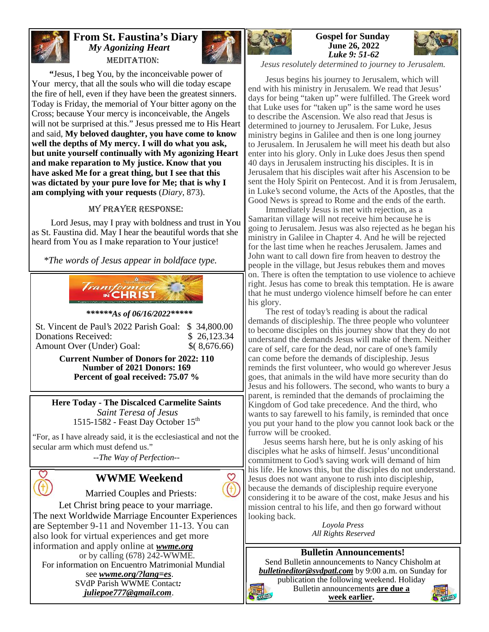

#### **From St. Faustina's Diary** *My Agonizing Heart* MEDITATION:



**"**Jesus, I beg You, by the inconceivable power of Your mercy, that all the souls who will die today escape the fire of hell, even if they have been the greatest sinners. Today is Friday, the memorial of Your bitter agony on the Cross; because Your mercy is inconceivable, the Angels will not be surprised at this." Jesus pressed me to His Heart and said, **My beloved daughter, you have come to know well the depths of My mercy. I will do what you ask, but unite yourself continually with My agonizing Heart and make reparation to My justice. Know that you have asked Me for a great thing, but I see that this was dictated by your pure love for Me; that is why I am complying with your requests** (*Diary*, 873).

#### My Prayer Response:

Lord Jesus, may I pray with boldness and trust in You as St. Faustina did. May I hear the beautiful words that she heard from You as I make reparation to Your justice!

*\*The words of Jesus appear in boldface type.*



#### *\*\*\*\*\*\*As of 06/16/2022\*\*\*\*\**

| St. Vincent de Paul's 2022 Parish Goal: \$ 34,800.00 |              | II dema              |
|------------------------------------------------------|--------------|----------------------|
| Donations Received:                                  | \$26,123.34  | to be                |
| Amount Over (Under) Goal:                            | \$(8,676.66) | lunder               |
|                                                      |              | $\vert$ care $\vert$ |

**Current Number of Donors for 2022: 110 Number of 2021 Donors: 169 Percent of goal received: 75.07 %**

**Here Today - The Discalced Carmelite Saints** *Saint Teresa of Jesus* 1515-1582 - Feast Day October 15<sup>th</sup>

"For, as I have already said, it is the ecclesiastical and not the secular arm which must defend us."

*--The Way of Perfection--*

# **WWME Weekend**

Married Couples and Priests:

Let Christ bring peace to your marriage. The next Worldwide Marriage Encounter Experiences are September 9-11 and November 11-13. You can also look for virtual experiences and get more information and apply online at *wwme.org* or by calling (678) 242-WWME.

For information on Encuentro Matrimonial Mundial see *wwme.org/?lang=es*. SVdP Parish WWME Contact*: juliepoe777@gmail.com*.



**Gospel for Sunday June 26, 2022** *Luke 9: 51-62*



*Jesus resolutely determined to journey to Jerusalem.*

Jesus begins his journey to Jerusalem, which will end with his ministry in Jerusalem. We read that Jesus' days for being "taken up" were fulfilled. The Greek word that Luke uses for "taken up" is the same word he uses to describe the Ascension. We also read that Jesus is determined to journey to Jerusalem. For Luke, Jesus ministry begins in Galilee and then is one long journey to Jerusalem. In Jerusalem he will meet his death but also enter into his glory. Only in Luke does Jesus then spend 40 days in Jerusalem instructing his disciples. It is in Jerusalem that his disciples wait after his Ascension to be sent the Holy Spirit on Pentecost. And it is from Jerusalem, in Luke's second volume, the Acts of the Apostles, that the Good News is spread to Rome and the ends of the earth.

Immediately Jesus is met with rejection, as a Samaritan village will not receive him because he is going to Jerusalem. Jesus was also rejected as he began his ministry in Galilee in Chapter 4. And he will be rejected for the last time when he reaches Jerusalem. James and John want to call down fire from heaven to destroy the people in the village, but Jesus rebukes them and moves on. There is often the temptation to use violence to achieve right. Jesus has come to break this temptation. He is aware that he must undergo violence himself before he can enter his glory.

The rest of today's reading is about the radical demands of discipleship. The three people who volunteer to become disciples on this journey show that they do not understand the demands Jesus will make of them. Neither care of self, care for the dead, nor care of one's family can come before the demands of discipleship. Jesus reminds the first volunteer, who would go wherever Jesus goes, that animals in the wild have more security than do Jesus and his followers. The second, who wants to bury a parent, is reminded that the demands of proclaiming the Kingdom of God take precedence. And the third, who wants to say farewell to his family, is reminded that once you put your hand to the plow you cannot look back or the furrow will be crooked.

Jesus seems harsh here, but he is only asking of his disciples what he asks of himself. Jesus' unconditional commitment to God's saving work will demand of him his life. He knows this, but the disciples do not understand. Jesus does not want anyone to rush into discipleship, because the demands of discipleship require everyone considering it to be aware of the cost, make Jesus and his mission central to his life, and then go forward without looking back.

*Loyola Press All Rights Reserved*

#### **Bulletin Announcements!**

Send Bulletin announcements to Nancy Chisholm at *bulletineditor@svdpatl.com* by 9:00 a.m. on Sunday for

publication the following weekend. Holiday Bulletin announcements **are due a week earlier.**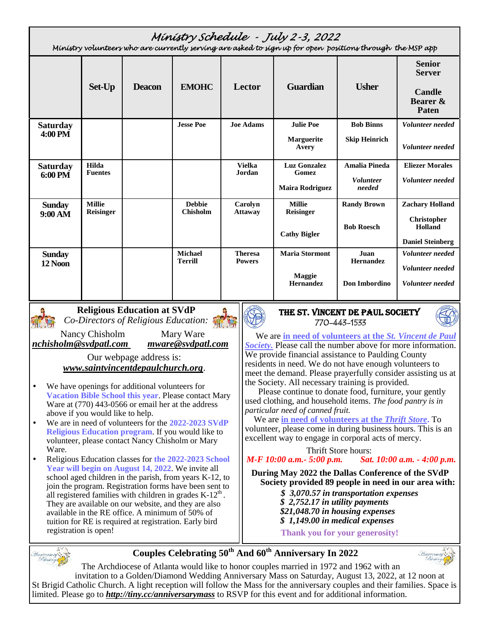|                 |                  |  |                                  |                                 | Ministry Schedule - July 2-3, 2022<br>Ministry volunteers who are currently serving are asked to sign up for open positions through the MSP app |                            |                                           |
|-----------------|------------------|--|----------------------------------|---------------------------------|-------------------------------------------------------------------------------------------------------------------------------------------------|----------------------------|-------------------------------------------|
|                 | Set-Up           |  | <b>EMOHC</b><br><b>Deacon</b>    | Lector                          | <b>Guardian</b>                                                                                                                                 | <b>Usher</b>               | <b>Senior</b><br><b>Server</b>            |
|                 |                  |  |                                  |                                 |                                                                                                                                                 |                            | <b>Candle</b><br>Bearer &<br><b>Paten</b> |
| <b>Saturday</b> |                  |  | <b>Jesse Poe</b>                 | <b>Joe Adams</b>                | <b>Julie Poe</b>                                                                                                                                | <b>Bob Binns</b>           | Volunteer needed                          |
| 4:00 PM         |                  |  |                                  |                                 | <b>Marguerite</b><br>Avery                                                                                                                      | <b>Skip Heinrich</b>       | Volunteer needed                          |
| <b>Saturday</b> | Hilda            |  |                                  | <b>Vielka</b>                   | <b>Luz Gonzalez</b>                                                                                                                             | <b>Amalia Pineda</b>       | <b>Eliezer Morales</b>                    |
| 6:00 PM         | <b>Fuentes</b>   |  |                                  | <b>Jordan</b>                   | Gomez<br><b>Maira Rodriguez</b>                                                                                                                 | <i>Volunteer</i><br>needed | Volunteer needed                          |
| <b>Sunday</b>   | <b>Millie</b>    |  | <b>Debbie</b><br><b>Chisholm</b> | Carolyn                         | <b>Millie</b>                                                                                                                                   | <b>Randy Brown</b>         | <b>Zachary Holland</b>                    |
| 9:00 AM         | <b>Reisinger</b> |  |                                  | <b>Attaway</b>                  | <b>Reisinger</b><br><b>Cathy Bigler</b>                                                                                                         | <b>Bob Roesch</b>          | Christopher<br>Holland                    |
|                 |                  |  |                                  |                                 |                                                                                                                                                 | <b>Daniel Steinberg</b>    |                                           |
| <b>Sunday</b>   |                  |  | <b>Michael</b><br><b>Terrill</b> | <b>Theresa</b><br><b>Powers</b> | <b>Maria Stormont</b>                                                                                                                           | Juan<br>Hernandez          | Volunteer needed                          |
| 12 Noon         |                  |  |                                  |                                 |                                                                                                                                                 |                            | Volunteer needed                          |
|                 |                  |  |                                  |                                 | Maggie<br>Hernandez                                                                                                                             | Don Imbordino              | Volunteer needed                          |



Nancy Chisholm Mary Ware<br>
Mary Ware *Mullon* Music *mware* @svdpatl.com *nchisholm@svdpatl.com mware@svdpatl.com*

Our webpage address is: *www.saintvincentdepaulchurch.org*.

- We have openings for additional volunteers for **Vacation Bible School this year**. Please contact Mary Ware at (770) 443-0566 or email her at the address above if you would like to help.
- We are in need of volunteers for the **2022-2023 SVdP Religious Education program**. If you would like to volunteer, please contact Nancy Chisholm or Mary Ware.
- Religious Education classes for **the 2022-2023 School Year will begin on August 14, 2022**. We invite all school aged children in the parish, from years K-12, to join the program. Registration forms have been sent to all registered families with children in grades  $K-12<sup>th</sup>$ . They are available on our website, and they are also available in the RE office. A minimum of 50% of tuition for RE is required at registration. Early bird registration is open!

# **770-443-1533**



We are **in need of volunteers at the** *St. Vincent de Paul Society.* Please call the number above for more information. We provide financial assistance to Paulding County residents in need. We do not have enough volunteers to meet the demand. Please prayerfully consider assisting us at the Society. All necessary training is provided.

Please continue to donate food, furniture, your gently used clothing, and household items. *The food pantry is in particular need of canned fruit.*

#### We are **in need of volunteers at the** *Thrift Store***.** To

volunteer, please come in during business hours. This is an excellent way to engage in corporal acts of mercy.

Thrift Store hours:

*M-F 10:00 a.m.- 5:00 p.m. Sat. 10:00 a.m. - 4:00 p.m.*

**During May 2022 the Dallas Conference of the SVdP Society provided 89 people in need in our area with:**

- *\$ 3,070.57 in transportation expenses*
- *\$ 2,752.17 in utility payments*
- *\$21,048.70 in housing expenses*
- *\$ 1,149.00 in medical expenses*

**Thank you for your generosity!**



**Couples Celebrating 50th And 60th Anniversary In 2022**



The Archdiocese of Atlanta would like to honor couples married in 1972 and 1962 with an invitation to a Golden/Diamond Wedding Anniversary Mass on Saturday, August 13, 2022, at 12 noon at St Brigid Catholic Church. A light reception will follow the Mass for the anniversary couples and their families. Space is limited. Please go to *http://tiny.cc/anniversarymass* to RSVP for this event and for additional information.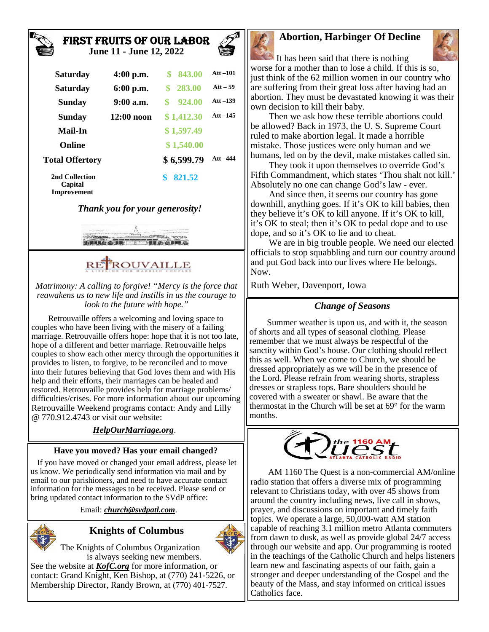#### **First Fruits of Our Labor June 11 - June 12, 2022**



**Capital Improvement**

#### *Thank you for your generosity!*



# RE ROUVAILLE

*Matrimony: A calling to forgive! "Mercy is the force that reawakens us to new life and instills in us the courage to look to the future with hope."*

Retrouvaille offers a welcoming and loving space to couples who have been living with the misery of a failing marriage. Retrouvaille offers hope: hope that it is not too late, hope of a different and better marriage. Retrouvaille helps couples to show each other mercy through the opportunities it provides to listen, to forgive, to be reconciled and to move into their futures believing that God loves them and with His help and their efforts, their marriages can be healed and restored. Retrouvaille provides help for marriage problems/ difficulties/crises. For more information about our upcoming Retrouvaille Weekend programs contact: Andy and Lilly @ 770.912.4743 or visit our website:

#### *HelpOurMarriage.org*.

#### **Have you moved? Has your email changed?**

If you have moved or changed your email address, please let us know. We periodically send information via mail and by email to our parishioners, and need to have accurate contact information for the messages to be received. Please send or bring updated contact information to the SVdP office:

Email: *church@svdpatl.com*.

# **Knights of Columbus**



The Knights of Columbus Organization is always seeking new members.

See the website at *KofC.org* for more information, or contact: Grand Knight, Ken Bishop, at (770) 241-5226, or Membership Director, Randy Brown, at (770) 401-7527.

# **Abortion, Harbinger Of Decline**



It has been said that there is nothing worse for a mother than to lose a child. If this is so, just think of the 62 million women in our country who are suffering from their great loss after having had an abortion. They must be devastated knowing it was their own decision to kill their baby.

Then we ask how these terrible abortions could be allowed? Back in 1973, the U. S. Supreme Court ruled to make abortion legal. It made a horrible mistake. Those justices were only human and we humans, led on by the devil, make mistakes called sin.

They took it upon themselves to override God's Fifth Commandment, which states 'Thou shalt not kill.' Absolutely no one can change God's law - ever.

And since then, it seems our country has gone downhill, anything goes. If it's OK to kill babies, then they believe it's OK to kill anyone. If it's OK to kill, it's OK to steal; then it's OK to pedal dope and to use dope, and so it's OK to lie and to cheat.

We are in big trouble people. We need our elected officials to stop squabbling and turn our country around and put God back into our lives where He belongs. Now.

Ruth Weber, Davenport, Iowa

### *Change of Seasons*

Summer weather is upon us, and with it, the season of shorts and all types of seasonal clothing. Please remember that we must always be respectful of the sanctity within God's house. Our clothing should reflect this as well. When we come to Church, we should be dressed appropriately as we will be in the presence of the Lord. Please refrain from wearing shorts, strapless dresses or strapless tops. Bare shoulders should be covered with a sweater or shawl. Be aware that the thermostat in the Church will be set at 69° for the warm months.



AM 1160 The Quest is a non-commercial AM/online radio station that offers a diverse mix of programming relevant to Christians today, with over 45 shows from around the country including news, live call in shows, prayer, and discussions on important and timely faith topics. We operate a large, 50,000-watt AM station capable of reaching 3.1 million metro Atlanta commuters from dawn to dusk, as well as provide global 24/7 access through our website and app. Our programming is rooted in the teachings of the Catholic Church and helps listeners learn new and fascinating aspects of our faith, gain a stronger and deeper understanding of the Gospel and the beauty of the Mass, and stay informed on critical issues Catholics face.